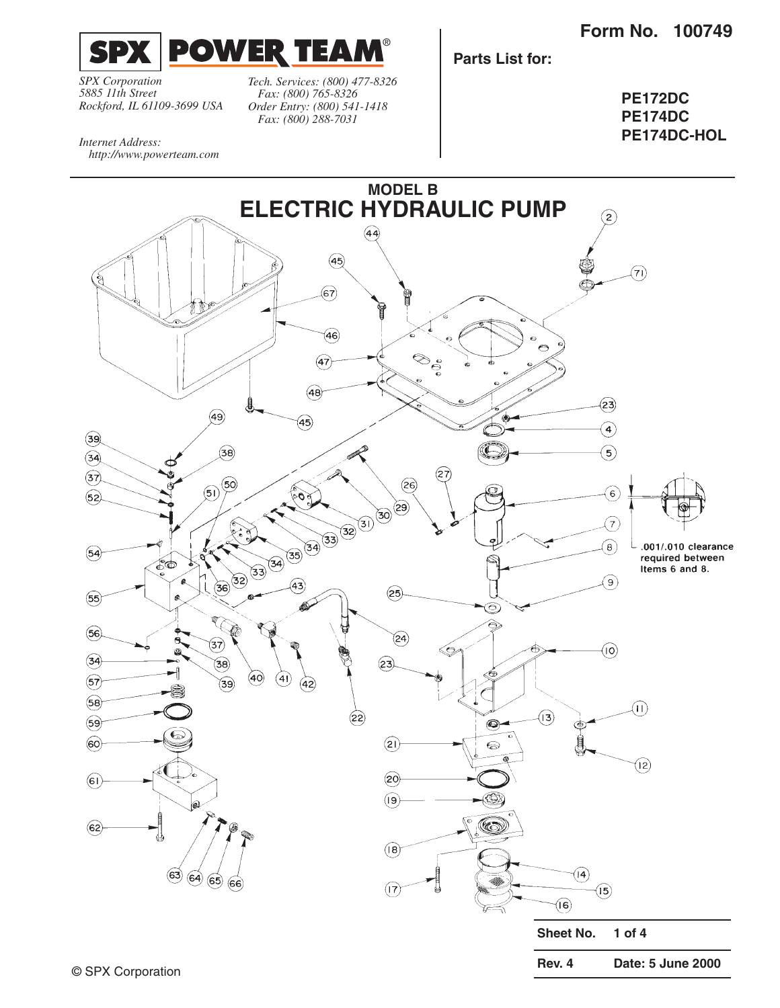**Form No. 100749**



*SPX Corporation 5885 11th Street Rockford, IL 61109-3699 USA*

*Internet Address:* 

*Tech. Services: (800) 477-8326 Fax: (800) 765-8326 Order Entry: (800) 541-1418 Fax: (800) 288-7031*

**Parts List for:**

**PE172DC PE174DC PE174DC-HOL**

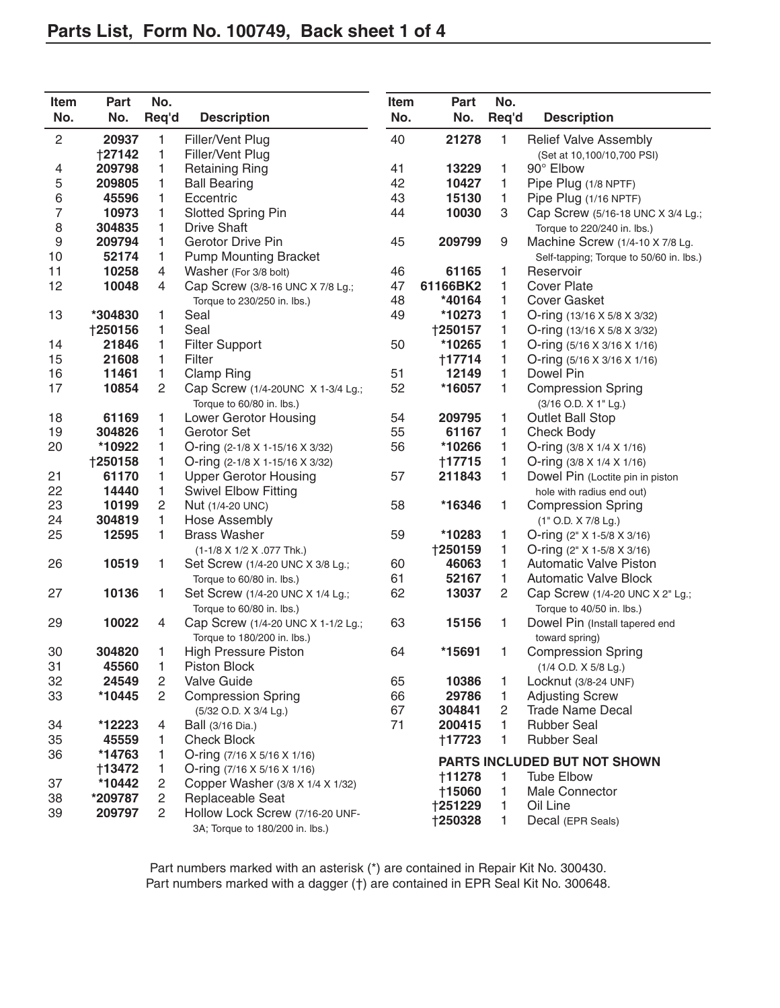| Item<br>No. | Part<br>No.    | No.<br>Req'd          | <b>Description</b>                                                 | Item<br>No. | Part<br>No.                  | No.<br>Req'd   | <b>Description</b>                      |
|-------------|----------------|-----------------------|--------------------------------------------------------------------|-------------|------------------------------|----------------|-----------------------------------------|
| $\sqrt{2}$  | 20937          | 1                     | Filler/Vent Plug                                                   | 40          | 21278                        | 1              | <b>Relief Valve Assembly</b>            |
|             | <b>†27142</b>  | $\mathbf{1}$          | Filler/Vent Plug                                                   |             |                              |                | (Set at 10,100/10,700 PSI)              |
| 4           | 209798         | 1                     | <b>Retaining Ring</b>                                              | 41          | 13229                        | 1              | 90° Elbow                               |
| $\mathbf 5$ | 209805         | 1                     | <b>Ball Bearing</b>                                                | 42          | 10427                        | 1              | Pipe Plug (1/8 NPTF)                    |
| 6           | 45596          | 1                     | Eccentric                                                          | 43          | 15130                        | 1              | Pipe Plug (1/16 NPTF)                   |
| 7           | 10973          | 1                     | <b>Slotted Spring Pin</b>                                          | 44          | 10030                        | 3              | Cap Screw (5/16-18 UNC X 3/4 Lg.;       |
| 8           | 304835         | 1                     | <b>Drive Shaft</b>                                                 |             |                              |                | Torque to 220/240 in. lbs.)             |
| 9           | 209794         | 1                     | <b>Gerotor Drive Pin</b>                                           | 45          | 209799                       | 9              | Machine Screw (1/4-10 X 7/8 Lg.         |
| 10          | 52174          | 1                     | <b>Pump Mounting Bracket</b>                                       |             |                              |                | Self-tapping; Torque to 50/60 in. lbs.) |
| 11          | 10258          | 4                     | Washer (For 3/8 bolt)                                              | 46          | 61165                        | 1              | Reservoir                               |
| 12          | 10048          | 4                     | Cap Screw (3/8-16 UNC X 7/8 Lg.;                                   | 47          | 61166BK2                     | 1              | <b>Cover Plate</b>                      |
|             |                |                       | Torque to 230/250 in. lbs.)                                        | 48          | *40164                       | 1              | <b>Cover Gasket</b>                     |
| 13          | *304830        | 1                     | Seal                                                               | 49          | *10273                       | 1              | O-ring (13/16 X 5/8 X 3/32)             |
|             | <b>†250156</b> | 1                     | Seal                                                               |             | <b>†250157</b>               | 1              | O-ring (13/16 X 5/8 X 3/32)             |
| 14          | 21846          | $\mathbf{1}$          | <b>Filter Support</b>                                              | 50          | *10265                       | 1              | O-ring (5/16 X 3/16 X 1/16)             |
| 15          | 21608          | $\mathbf{1}$          | Filter                                                             |             | <b>†17714</b>                | 1              | O-ring (5/16 X 3/16 X 1/16)             |
| 16          | 11461          | 1                     | <b>Clamp Ring</b>                                                  | 51          | 12149                        | 1              | Dowel Pin                               |
| 17          | 10854          | $\overline{c}$        | Cap Screw (1/4-20UNC X 1-3/4 Lg.;                                  | 52          | *16057                       | 1              | <b>Compression Spring</b>               |
|             |                |                       | Torque to 60/80 in. lbs.)                                          |             |                              |                | (3/16 O.D. X 1" Lg.)                    |
| 18          | 61169          | 1                     | Lower Gerotor Housing                                              | 54          | 209795                       | 1              | <b>Outlet Ball Stop</b>                 |
| 19          | 304826         | 1                     | Gerotor Set                                                        | 55          | 61167                        | 1              | <b>Check Body</b>                       |
| 20          | *10922         | 1                     | O-ring (2-1/8 X 1-15/16 X 3/32)                                    | 56          | *10266                       | 1              | O-ring (3/8 X 1/4 X 1/16)               |
|             | †250158        | 1                     | O-ring (2-1/8 X 1-15/16 X 3/32)                                    |             | †17715                       | 1              | O-ring (3/8 X 1/4 X 1/16)               |
| 21          | 61170          | 1                     | <b>Upper Gerotor Housing</b>                                       | 57          | 211843                       | 1              | Dowel Pin (Loctite pin in piston        |
| 22          | 14440          | 1                     | <b>Swivel Elbow Fitting</b>                                        |             |                              |                | hole with radius end out)               |
| 23          | 10199          | 2                     | Nut (1/4-20 UNC)                                                   | 58          | *16346                       | 1              | <b>Compression Spring</b>               |
| 24          | 304819         | 1                     | <b>Hose Assembly</b>                                               |             |                              |                | (1" O.D. X 7/8 Lg.)                     |
| 25          | 12595          | 1                     | <b>Brass Washer</b>                                                | 59          | *10283                       | 1              | O-ring (2" X 1-5/8 X 3/16)              |
|             |                |                       | (1-1/8 X 1/2 X .077 Thk.)                                          |             | <b>†250159</b>               | 1              | O-ring $(2" X 1-5/8 X 3/16)$            |
| 26          | 10519          | 1                     | Set Screw (1/4-20 UNC X 3/8 Lg.;                                   | 60          | 46063                        | 1              | <b>Automatic Valve Piston</b>           |
|             |                |                       | Torque to 60/80 in. lbs.)                                          | 61          | 52167                        | $\mathbf{1}$   | <b>Automatic Valve Block</b>            |
| 27          | 10136          | 1                     | Set Screw (1/4-20 UNC X 1/4 Lg.;                                   | 62          | 13037                        | $\overline{2}$ | Cap Screw (1/4-20 UNC X 2" Lg.;         |
|             |                |                       | Torque to 60/80 in. lbs.)                                          |             |                              |                | Torque to 40/50 in. lbs.)               |
| 29          | 10022          | 4                     | Cap Screw (1/4-20 UNC X 1-1/2 Lg.;                                 | 63          | 15156                        | 1              | Dowel Pin (Install tapered end          |
|             |                |                       | Torque to 180/200 in. lbs.)                                        |             |                              |                | toward spring)                          |
| 30          | 304820         | 1                     | <b>High Pressure Piston</b>                                        | 64          | *15691                       | 1              | <b>Compression Spring</b>               |
| 31          | 45560          | 1                     | Piston Block                                                       |             |                              |                | (1/4 O.D. X 5/8 Lg.)                    |
| 32          | 24549          | $\overline{c}$        | Valve Guide                                                        | 65          | 10386                        | 1              | Locknut (3/8-24 UNF)                    |
| 33          | *10445         | $\mathbf{2}^{\prime}$ | <b>Compression Spring</b>                                          | 66          | 29786                        | $\mathbf{1}$   | <b>Adjusting Screw</b>                  |
|             |                |                       | (5/32 O.D. X 3/4 Lg.)                                              | 67          | 304841                       | $\overline{c}$ | <b>Trade Name Decal</b>                 |
| 34          | *12223         | 4                     | Ball (3/16 Dia.)                                                   | 71          | 200415                       | 1              | <b>Rubber Seal</b>                      |
| 35          | 45559          | 1                     | <b>Check Block</b>                                                 |             | +17723                       | 1              | <b>Rubber Seal</b>                      |
| 36          | *14763         | 1.                    | O-ring $(7/16 \times 5/16 \times 1/16)$                            |             | PARTS INCLUDED BUT NOT SHOWN |                |                                         |
|             | †13472         | 1.                    | O-ring $(7/16 \times 5/16 \times 1/16)$                            |             | †11278                       | 1              | <b>Tube Elbow</b>                       |
| 37          | *10442         | 2                     | Copper Washer (3/8 X 1/4 X 1/32)                                   |             | <b>†15060</b>                | 1              | Male Connector                          |
| 38          | *209787        | $\overline{c}$        | Replaceable Seat                                                   |             | †251229                      | 1              | Oil Line                                |
| 39          | 209797         | $\mathbf{2}^{\prime}$ | Hollow Lock Screw (7/16-20 UNF-<br>3A; Torque to 180/200 in. lbs.) |             | +250328                      | 1              | Decal (EPR Seals)                       |

Part numbers marked with an asterisk (\*) are contained in Repair Kit No. 300430. Part numbers marked with a dagger (†) are contained in EPR Seal Kit No. 300648.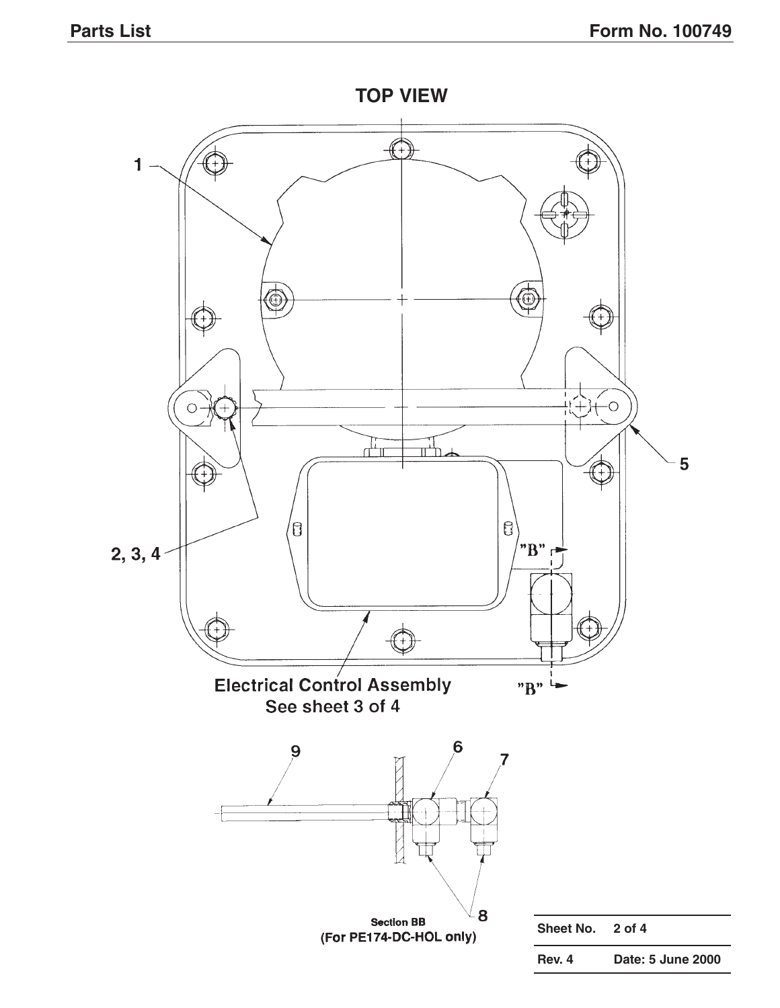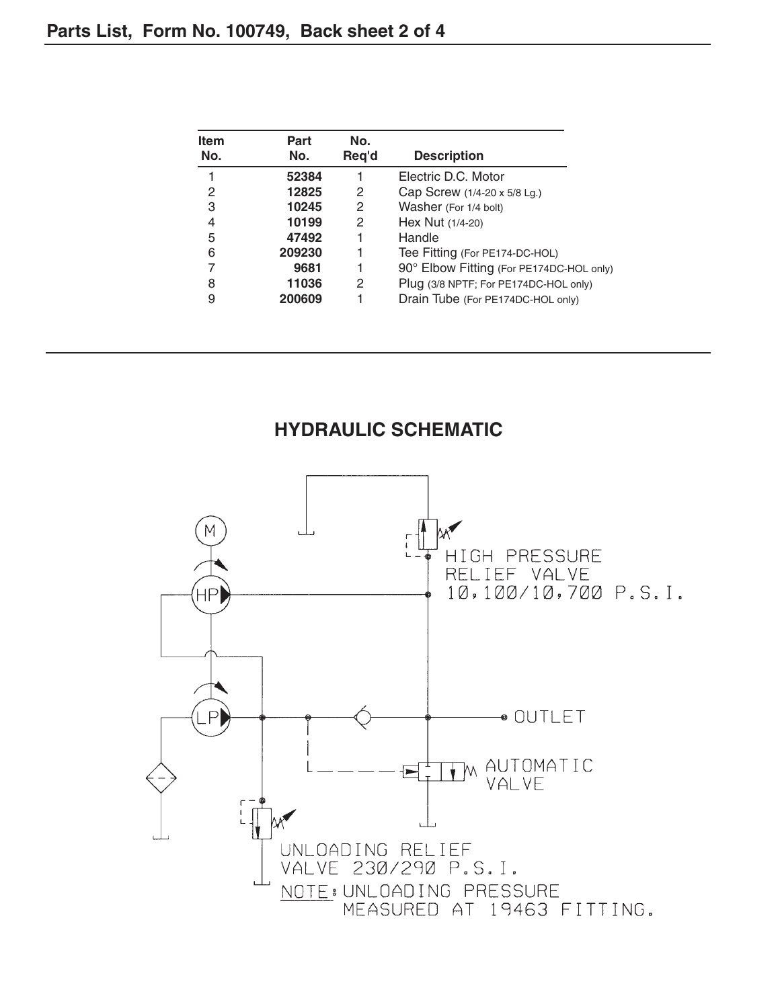| <b>Item</b><br>No. | Part<br>No. | No.<br>Req'd | <b>Description</b>                       |
|--------------------|-------------|--------------|------------------------------------------|
|                    | 52384       |              | Electric D.C. Motor                      |
| 2                  | 12825       | 2            | Cap Screw (1/4-20 x 5/8 Lg.)             |
| 3                  | 10245       | 2            | Washer (For 1/4 bolt)                    |
| 4                  | 10199       | 2            | Hex Nut (1/4-20)                         |
| 5                  | 47492       |              | Handle                                   |
| 6                  | 209230      |              | Tee Fitting (For PE174-DC-HOL)           |
| 7                  | 9681        |              | 90° Elbow Fitting (For PE174DC-HOL only) |
| 8                  | 11036       | 2            | Plug (3/8 NPTF; For PE174DC-HOL only)    |
| 9                  | 200609      |              | Drain Tube (For PE174DC-HOL only)        |

# **HYDRAULIC SCHEMATIC**

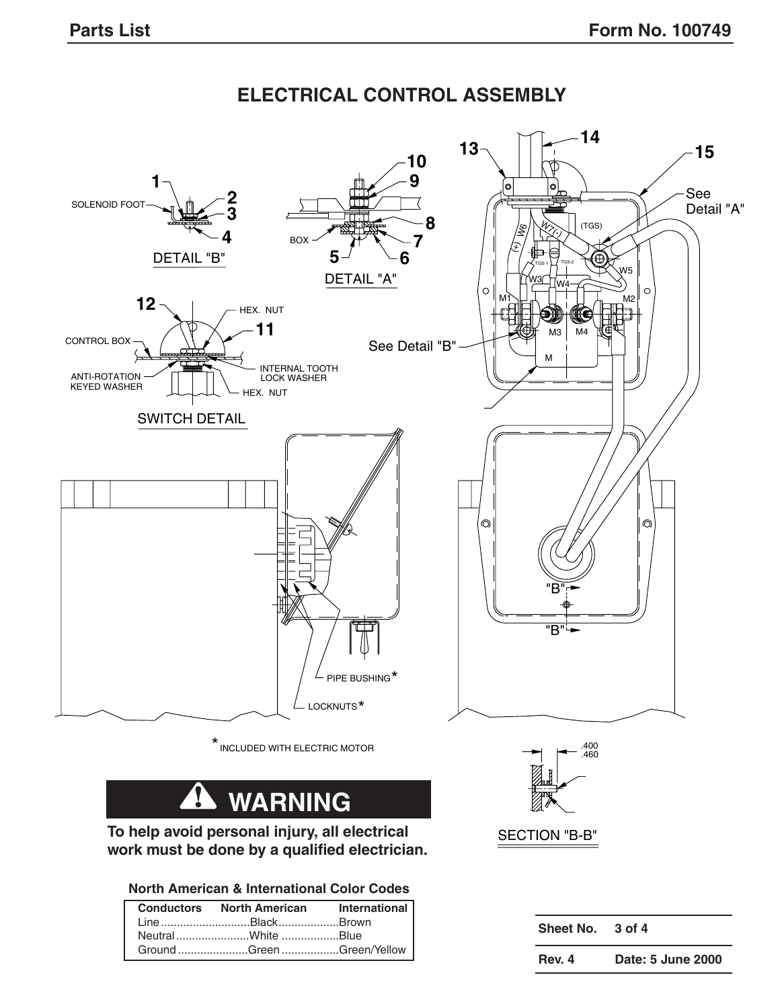# **ELECTRICAL CONTROL ASSEMBLY**

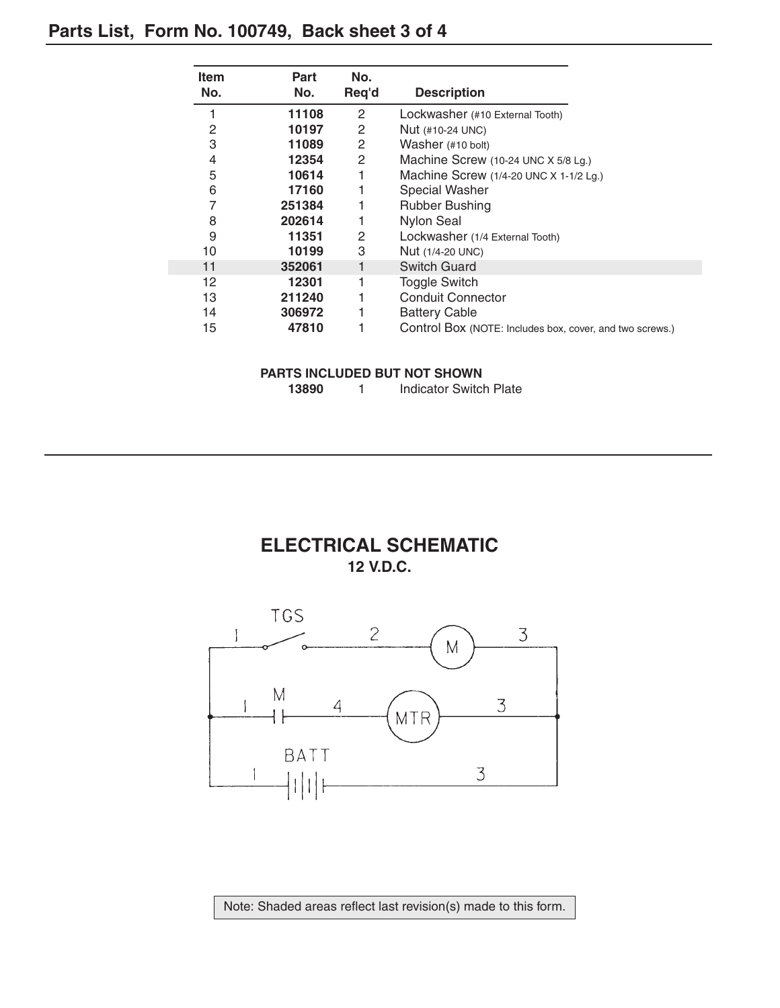# **Parts List, Form No. 100749, Back sheet 3 of 4**

| No.<br>No.<br><b>Description</b><br>Req'd<br>2<br>1<br>11108<br>Lockwasher (#10 External Tooth)<br>$\mathbf{2}$<br>2<br>10197<br>Nut (#10-24 UNC)<br>3<br>2<br>11089<br>Washer (#10 bolt)<br>4<br>2<br>12354<br>Machine Screw (10-24 UNC X 5/8 Lg.)<br>5<br>10614<br>Machine Screw (1/4-20 UNC X 1-1/2 Lg.)<br>6<br>17160<br><b>Special Washer</b><br>7<br>251384<br><b>Rubber Bushing</b> |
|--------------------------------------------------------------------------------------------------------------------------------------------------------------------------------------------------------------------------------------------------------------------------------------------------------------------------------------------------------------------------------------------|
|                                                                                                                                                                                                                                                                                                                                                                                            |
|                                                                                                                                                                                                                                                                                                                                                                                            |
|                                                                                                                                                                                                                                                                                                                                                                                            |
|                                                                                                                                                                                                                                                                                                                                                                                            |
|                                                                                                                                                                                                                                                                                                                                                                                            |
|                                                                                                                                                                                                                                                                                                                                                                                            |
|                                                                                                                                                                                                                                                                                                                                                                                            |
|                                                                                                                                                                                                                                                                                                                                                                                            |
| 8<br><b>Nylon Seal</b><br>202614                                                                                                                                                                                                                                                                                                                                                           |
| 9<br>2<br>11351<br>Lockwasher (1/4 External Tooth)                                                                                                                                                                                                                                                                                                                                         |
| 3<br>10<br>10199<br>Nut (1/4-20 UNC)                                                                                                                                                                                                                                                                                                                                                       |
| <b>Switch Guard</b><br>11<br>352061                                                                                                                                                                                                                                                                                                                                                        |
| 12<br>12301<br><b>Toggle Switch</b>                                                                                                                                                                                                                                                                                                                                                        |
| <b>Conduit Connector</b><br>13<br>211240                                                                                                                                                                                                                                                                                                                                                   |
| 14<br>306972<br><b>Battery Cable</b>                                                                                                                                                                                                                                                                                                                                                       |
| 15<br>47810<br>Control Box (NOTE: Includes box, cover, and two screws.)                                                                                                                                                                                                                                                                                                                    |

### **PARTS INCLUDED BUT NOT SHOWN**

| 13890 | Indicator Switch Plate |
|-------|------------------------|
|       |                        |

### **ELECTRICAL SCHEMATIC 12 V.D.C.**



Note: Shaded areas reflect last revision(s) made to this form.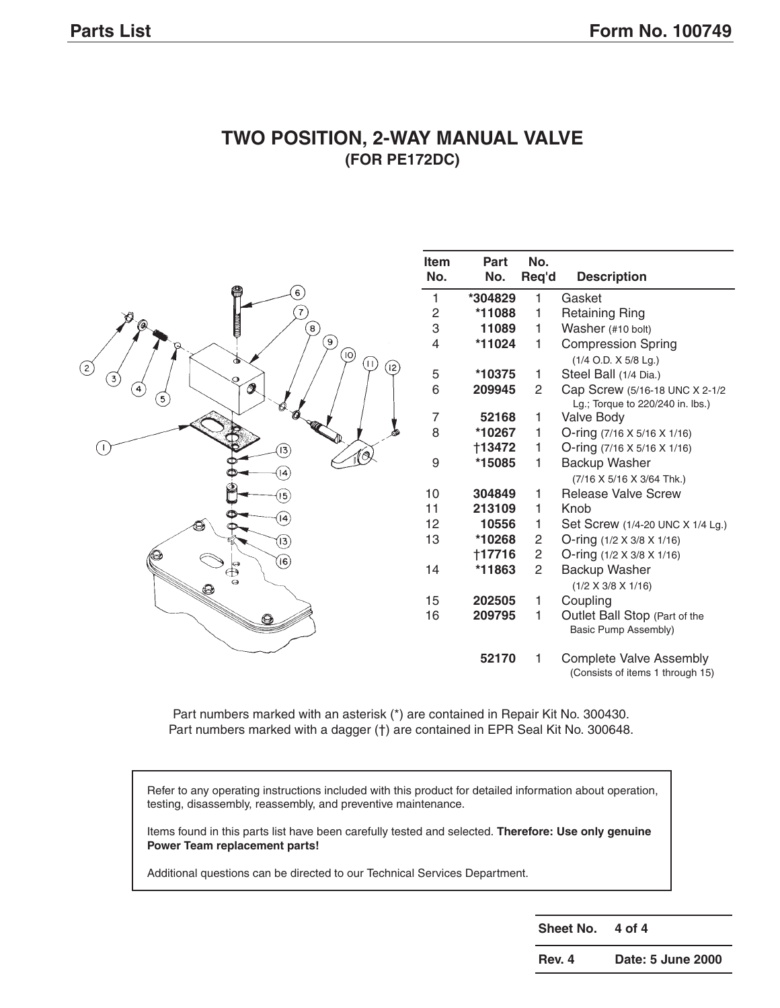

### **TWO POSITION, 2-WAY MANUAL VALVE (FOR PE172DC)**

Part numbers marked with an asterisk (\*) are contained in Repair Kit No. 300430. Part numbers marked with a dagger (†) are contained in EPR Seal Kit No. 300648.

Refer to any operating instructions included with this product for detailed information about operation, testing, disassembly, reassembly, and preventive maintenance.

Items found in this parts list have been carefully tested and selected. **Therefore: Use only genuine Power Team replacement parts!**

Additional questions can be directed to our Technical Services Department.

**Sheet No. 4 of 4**